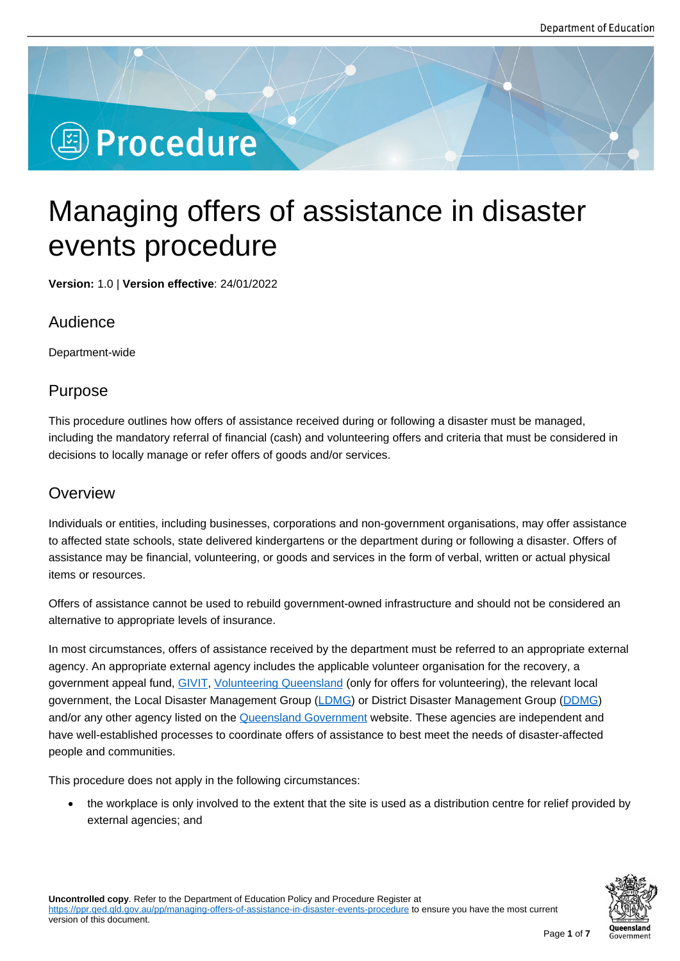# **图 Procedure**

## Managing offers of assistance in disaster events procedure

**Version:** 1.0 | **Version effective**: 24/01/2022

## Audience

Department-wide

## Purpose

This procedure outlines how offers of assistance received during or following a disaster must be managed, including the mandatory referral of financial (cash) and volunteering offers and criteria that must be considered in decisions to locally manage or refer offers of goods and/or services.

## **Overview**

Individuals or entities, including businesses, corporations and non-government organisations, may offer assistance to affected state schools, state delivered kindergartens or the department during or following a disaster. Offers of assistance may be financial, volunteering, or goods and services in the form of verbal, written or actual physical items or resources.

Offers of assistance cannot be used to rebuild government-owned infrastructure and should not be considered an alternative to appropriate levels of insurance.

In most circumstances, offers of assistance received by the department must be referred to an appropriate external agency. An appropriate external agency includes the applicable volunteer organisation for the recovery, a government appeal fund, GIVIT, Volunteering Queensland (only for offers for volunteering), the relevant local government, the Local Disaster Management Group (LDMG) or District Disaster Management Group (DDMG) and/or any other agency listed on the Queensland Government website. These agencies are independent and have well-established pro[cesses](https://www.givit.org.au/) [to coordinate offers of ass](https://volunteeringqld.org.au/)istance to best meet the needs of disaster-affected people and communities.

This procedure does not apply in the f[ollowing circumstances:](https://www.qld.gov.au/emergency/emergencies-services/help-disaster)

• the workplace is only involved to the extent that the site is used as a distribution centre for relief provided by external agencies; and

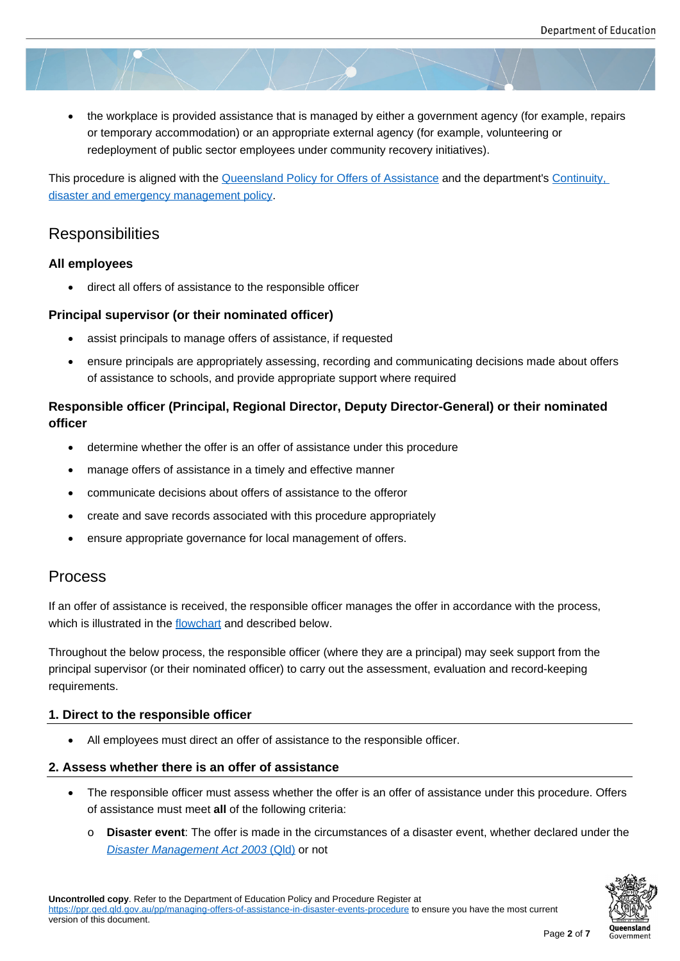the workplace is provided assistance that is managed by either a government agency (for example, repairs or temporary accommodation) or an appropriate external agency (for example, volunteering or redeployment of public sector employees under community recovery initiatives).

This procedure is aligned with the Queensland Policy for Offers of Assistance and the department's Continuity, disaster and emergency management policy.

## **Responsibilities**

#### **[All employees](https://ppr.qed.qld.gov.au/pp/continuity-disaster-and-emergency-management-policy)**

direct all offers of assistance to the responsible officer

#### **Principal supervisor (or their nominated officer)**

- assist principals to manage offers of assistance, if requested
- ensure principals are appropriately assessing, recording and communicating decisions made about offers of assistance to schools, and provide appropriate support where required

#### **Responsible officer (Principal, Regional Director, Deputy Director-General) or their nominated officer**

- determine whether the offer is an offer of assistance under this procedure
- manage offers of assistance in a timely and effective manner
- communicate decisions about offers of assistance to the offeror
- create and save records associated with this procedure appropriately
- ensure appropriate governance for local management of offers.

## Process

If an offer of assistance is received, the responsible officer manages the offer in accordance with the process, which is illustrated in the flowchart and described below.

Throughout the below process, the responsible officer (where they are a principal) may seek support from the principal supervisor (or t[heir nomin](https://ppr.qed.qld.gov.au/attachment/managing-offers-of-assistance-in-disaster-events-flowchart.docx)ated officer) to carry out the assessment, evaluation and record-keeping requirements.

#### **1. Direct to the responsible officer**

All employees must direct an offer of assistance to the responsible officer.

#### **2. Assess whether there is an offer of assistance**

- The responsible officer must assess whether the offer is an offer of assistance under this procedure. Offers of assistance must meet **all** of the following criteria:
	- o **Disaster event**: The offer is made in the circumstances of a disaster event, whether declared under the *Disaster Management Act 2003* (Qld) or not

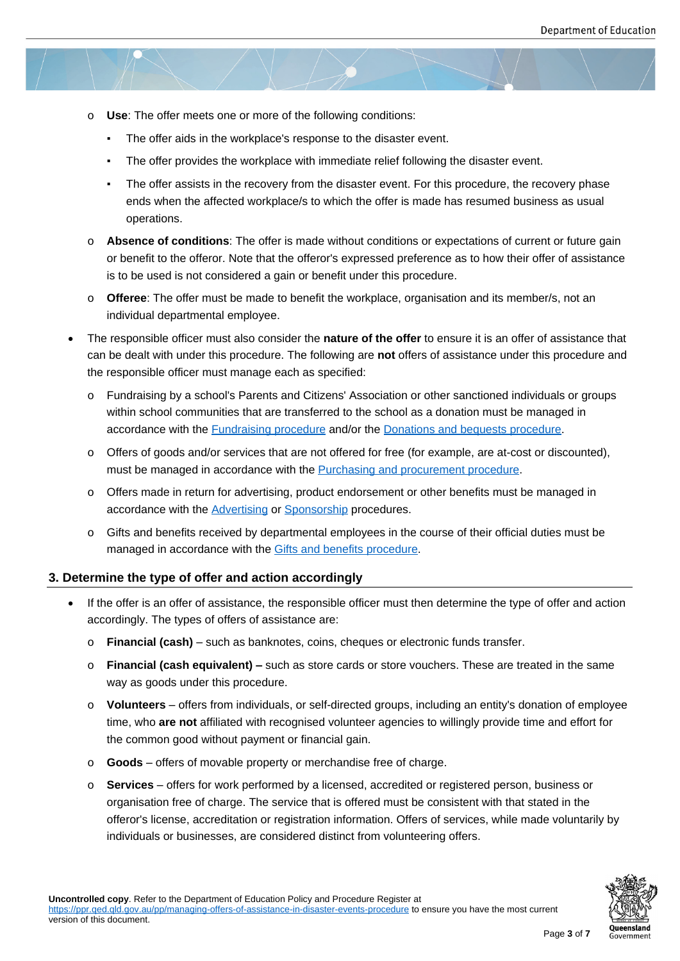- o **Use**: The offer meets one or more of the following conditions:
	- The offer aids in the workplace's response to the disaster event.
	- The offer provides the workplace with immediate relief following the disaster event.
	- The offer assists in the recovery from the disaster event. For this procedure, the recovery phase ends when the affected workplace/s to which the offer is made has resumed business as usual operations.
- o **Absence of conditions**: The offer is made without conditions or expectations of current or future gain or benefit to the offeror. Note that the offeror's expressed preference as to how their offer of assistance is to be used is not considered a gain or benefit under this procedure.
- o **Offeree**: The offer must be made to benefit the workplace, organisation and its member/s, not an individual departmental employee.
- The responsible officer must also consider the **nature of the offer** to ensure it is an offer of assistance that can be dealt with under this procedure. The following are **not** offers of assistance under this procedure and the responsible officer must manage each as specified:
	- o Fundraising by a school's Parents and Citizens' Association or other sanctioned individuals or groups within school communities that are transferred to the school as a donation must be managed in accordance with the Fundraising procedure and/or the Donations and bequests procedure.
	- o Offers of goods and/or services that are not offered for free (for example, are at-cost or discounted), must be managed in accordance with the **Purchasing and procurement procedure**.
	- o Offers made in retur[n for advertising, produc](https://ppr.qed.qld.gov.au/pp/fundraising-procedure)t endorse[ment or other benefits must be mana](https://ppr.qed.qld.gov.au/pp/donations-and-bequests-procedure)ged in accordance with the **Advertising or Sponsorship** procedures.
	- o Gifts and benefits received by department[al employees in the course of their officia](https://ppr.qed.qld.gov.au/pp/purchasing-and-procurement-procedure)l duties must be managed in accordance with the Gifts and benefits procedure.

#### **3. Determine the type of off[er and act](https://ppr.qed.qld.gov.au/pp/advertising-procedure)io[n according](https://ppr.qed.qld.gov.au/pp/sponsorship-procedure)ly**

- If the offer is an offer of assistance, t[he responsible officer must th](https://ppr.qed.qld.gov.au/pp/gifts-and-benefits-procedure)en determine the type of offer and action accordingly. The types of offers of assistance are:
	- o **Financial (cash)** such as banknotes, coins, cheques or electronic funds transfer.
	- o **Financial (cash equivalent) –** such as store cards or store vouchers. These are treated in the same way as goods under this procedure.
	- o **Volunteers** offers from individuals, or self-directed groups, including an entity's donation of employee time, who **are not** affiliated with recognised volunteer agencies to willingly provide time and effort for the common good without payment or financial gain.
	- o **Goods** offers of movable property or merchandise free of charge.
	- o **Services** offers for work performed by a licensed, accredited or registered person, business or organisation free of charge. The service that is offered must be consistent with that stated in the offeror's license, accreditation or registration information. Offers of services, while made voluntarily by individuals or businesses, are considered distinct from volunteering offers.

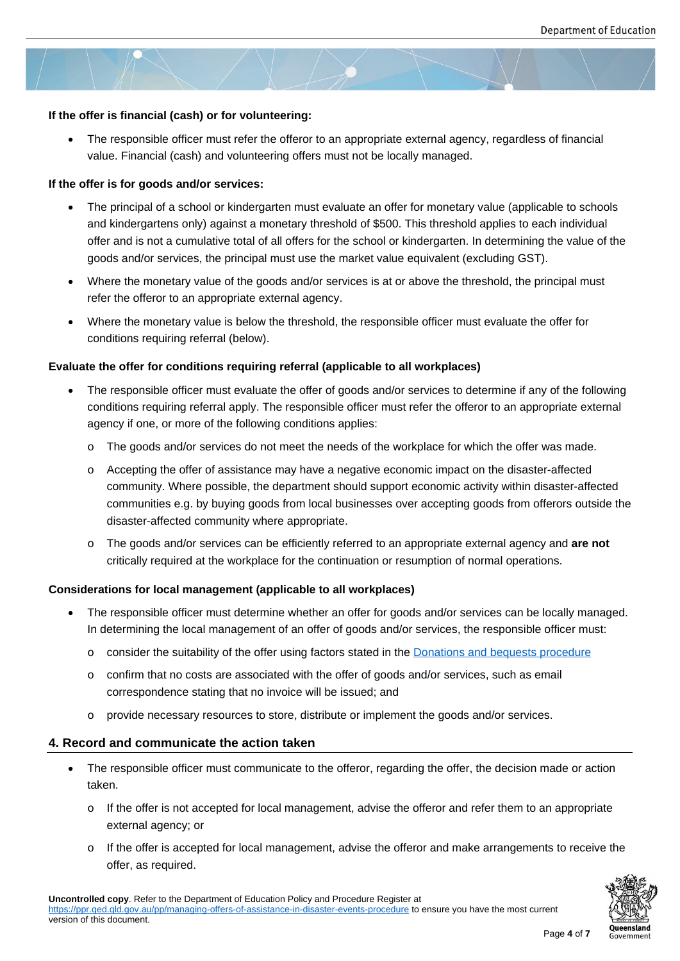#### **If the offer is financial (cash) or for volunteering:**

 The responsible officer must refer the offeror to an appropriate external agency, regardless of financial value. Financial (cash) and volunteering offers must not be locally managed.

#### **If the offer is for goods and/or services:**

- The principal of a school or kindergarten must evaluate an offer for monetary value (applicable to schools and kindergartens only) against a monetary threshold of \$500. This threshold applies to each individual offer and is not a cumulative total of all offers for the school or kindergarten. In determining the value of the goods and/or services, the principal must use the market value equivalent (excluding GST).
- Where the monetary value of the goods and/or services is at or above the threshold, the principal must refer the offeror to an appropriate external agency.
- Where the monetary value is below the threshold, the responsible officer must evaluate the offer for conditions requiring referral (below).

#### **Evaluate the offer for conditions requiring referral (applicable to all workplaces)**

- The responsible officer must evaluate the offer of goods and/or services to determine if any of the following conditions requiring referral apply. The responsible officer must refer the offeror to an appropriate external agency if one, or more of the following conditions applies:
	- o The goods and/or services do not meet the needs of the workplace for which the offer was made.
	- o Accepting the offer of assistance may have a negative economic impact on the disaster-affected community. Where possible, the department should support economic activity within disaster-affected communities e.g. by buying goods from local businesses over accepting goods from offerors outside the disaster-affected community where appropriate.
	- o The goods and/or services can be efficiently referred to an appropriate external agency and **are not** critically required at the workplace for the continuation or resumption of normal operations.

#### **Considerations for local management (applicable to all workplaces)**

- The responsible officer must determine whether an offer for goods and/or services can be locally managed. In determining the local management of an offer of goods and/or services, the responsible officer must:
	- o consider the suitability of the offer using factors stated in the Donations and bequests procedure
	- $\circ$  confirm that no costs are associated with the offer of goods and/or services, such as email correspondence stating that no invoice will be issued; and
	- o provide necessary resources to store, distribute or implemen[t the goods and/or services.](https://ppr.qed.qld.gov.au/pp/donations-and-bequests-procedure)

#### **4. Record and communicate the action taken**

- The responsible officer must communicate to the offeror, regarding the offer, the decision made or action taken.
	- $\circ$  If the offer is not accepted for local management, advise the offeror and refer them to an appropriate external agency; or
	- o If the offer is accepted for local management, advise the offeror and make arrangements to receive the offer, as required.

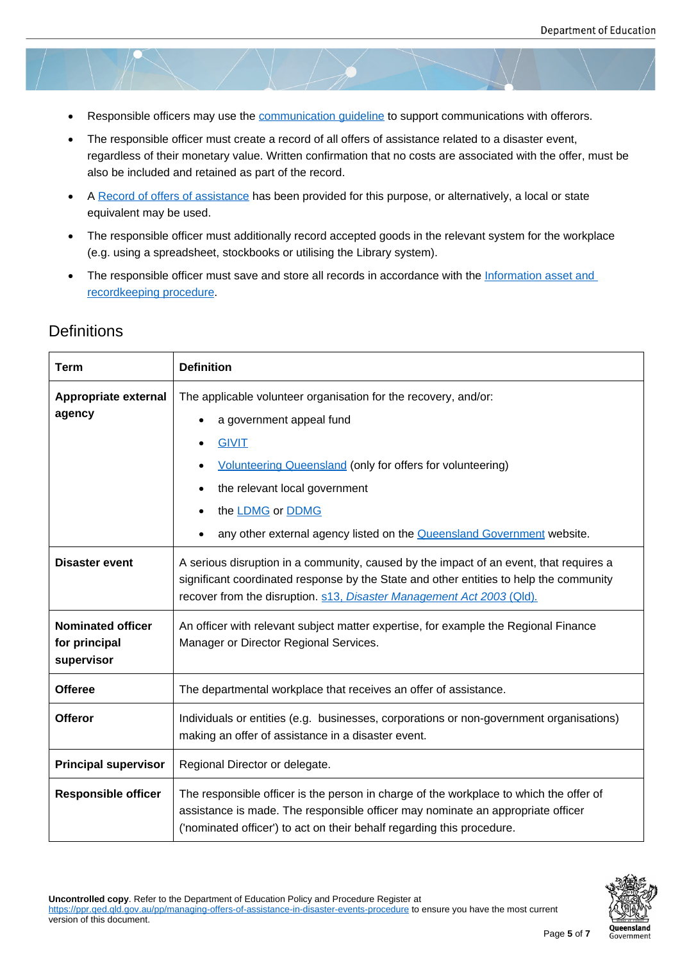- Responsible officers may use the communication guideline to support communications with offerors.
- The responsible officer must create a record of all offers of assistance related to a disaster event, regardless of their monetary value. Written confirmation that no costs are associated with the offer, must be also be included and retained as [part of the record.](https://ppr.qed.qld.gov.au/attachment/communication-guideline-for-offers-of-assistance-in-disaster-events.docx)
- A Record of offers of assistance has been provided for this purpose, or alternatively, a local or state equivalent may be used.
- The responsible officer must additionally record accepted goods in the relevant system for the workplace (e[.g. using a spreadsheet, stock](https://ppr.qed.qld.gov.au/attachment/record-of-offers-of-assistance-in-disaster-events.docx)books or utilising the Library system).
- The responsible officer must save and store all records in accordance with the Information asset and recordkeeping procedure.

## **Definitions**

| <b>Term</b>                                             | <b>Definition</b>                                                                                                                                                                                                                                         |
|---------------------------------------------------------|-----------------------------------------------------------------------------------------------------------------------------------------------------------------------------------------------------------------------------------------------------------|
| Appropriate external<br>agency                          | The applicable volunteer organisation for the recovery, and/or:                                                                                                                                                                                           |
|                                                         | a government appeal fund                                                                                                                                                                                                                                  |
|                                                         | <b>GIVIT</b>                                                                                                                                                                                                                                              |
|                                                         | <b>Volunteering Queensland (only for offers for volunteering)</b>                                                                                                                                                                                         |
|                                                         | the relevant local government<br>٠                                                                                                                                                                                                                        |
|                                                         | the <b>LDMG</b> or <b>DDMG</b>                                                                                                                                                                                                                            |
|                                                         | any other external agency listed on the <b>Queensland Government</b> website.                                                                                                                                                                             |
| <b>Disaster event</b>                                   | A serious disruption in a community, caused by the impact of an event, that requires a<br>significant coordinated response by the State and other entities to help the community<br>recover from the disruption. s13, Disaster Management Act 2003 (Qld). |
| <b>Nominated officer</b><br>for principal<br>supervisor | An officer with relevant subject matter expertise, for example the Regional Finance<br>Manager or Director Regional Services.                                                                                                                             |
| <b>Offeree</b>                                          | The departmental workplace that receives an offer of assistance.                                                                                                                                                                                          |
| <b>Offeror</b>                                          | Individuals or entities (e.g. businesses, corporations or non-government organisations)<br>making an offer of assistance in a disaster event.                                                                                                             |
| <b>Principal supervisor</b>                             | Regional Director or delegate.                                                                                                                                                                                                                            |
| <b>Responsible officer</b>                              | The responsible officer is the person in charge of the workplace to which the offer of<br>assistance is made. The responsible officer may nominate an appropriate officer<br>('nominated officer') to act on their behalf regarding this procedure.       |



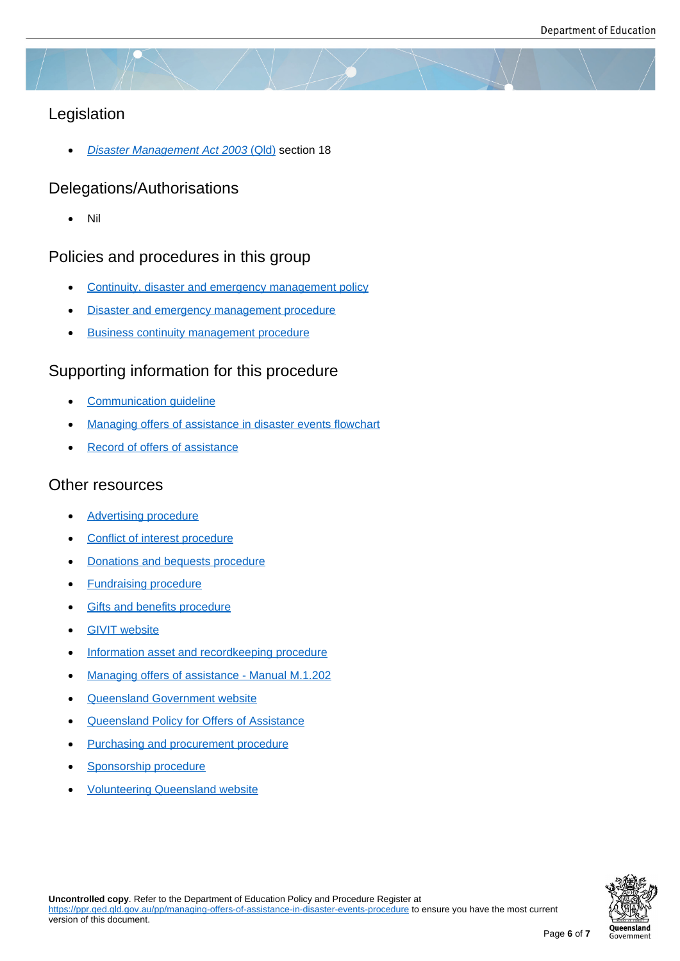## Legislation

*Disaster Management Act 2003* (Qld) section 18

## Delegations/Authorisations

[Nil](https://www.legislation.qld.gov.au/view/html/inforce/current/act-2003-091#sec.18)

## Policies and procedures in this group

- Continuity, disaster and emergency management policy
- Disaster and emergency management procedure
- [Business continuity management procedure](https://ppr.qed.qld.gov.au/pp/Continuity-disaster-and-emergency-management-policy)

## Supp[orting information for this procedure](https://ppr.qed.qld.gov.au/pp/disaster-and-emergency-management-procedure)

- [Communication guideline](https://ppr.qed.qld.gov.au/pp/business-continuity-management-procedure)
- Managing offers of assistance in disaster events flowchart
- [Record of offers of assista](https://ppr.qed.qld.gov.au/attachment/communication-guideline-for-offers-of-assistance-in-disaster-events.docx)nce

### Othe[r resources](https://ppr.qed.qld.gov.au/attachment/managing-offers-of-assistance-in-disaster-events-flowchart.docx)

- [Advertising procedure](https://ppr.qed.qld.gov.au/attachment/record-of-offers-of-assistance-in-disaster-events.docx)
- Conflict of interest procedure
- [Donations and beques](https://ppr.qed.qld.gov.au/pp/advertising-procedure)ts procedure
- [Fundraising procedure](https://ppr.qed.qld.gov.au/pp/conflict-of-interest-procedure)
- **[Gifts and benefits procedure](https://ppr.qed.qld.gov.au/pp/donations-and-bequests-procedure)**
- [GIVIT website](https://ppr.qed.qld.gov.au/pp/fundraising-procedure)
- [Information asset and record](https://ppr.qed.qld.gov.au/pp/gifts-and-benefits-procedure)keeping procedure
- [Managing offe](https://www.givit.org.au/)rs of assistance Manual M.1.202
- [Queensland Government website](https://ppr.qed.qld.gov.au/pp/information-asset-and-recordkeeping-procedure)
- [Queensland Policy for Offers of Assistance](https://www.disaster.qld.gov.au/dmg/st/Documents/M1202-Managing-Offers-of-Assistance-Manual.pdf)
- [Purchasing and procurement proc](https://www.qld.gov.au/emergency/emergencies-services/help-disaster)edure
- [Sponsorship procedure](https://www.disaster.qld.gov.au/dmp/Archive/Documents/Queensland-Policy-for-Offers-of-Assistance.pdf)
- [Volunteering Queensland website](https://ppr.qed.qld.gov.au/pp/purchasing-and-procurement-procedure)